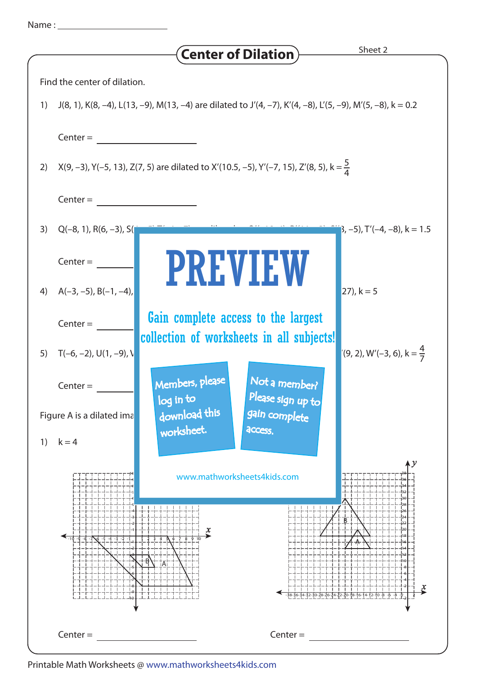| vame |  |  |
|------|--|--|
|      |  |  |
|      |  |  |

|                                                                                                                  | <b>Center of Dilation</b>                                                                               | Sheet 2                                     |  |  |  |  |  |  |
|------------------------------------------------------------------------------------------------------------------|---------------------------------------------------------------------------------------------------------|---------------------------------------------|--|--|--|--|--|--|
| Find the center of dilation.                                                                                     |                                                                                                         |                                             |  |  |  |  |  |  |
| J(8, 1), K(8, -4), L(13, -9), M(13, -4) are dilated to J'(4, -7), K'(4, -8), L'(5, -9), M'(5, -8), k = 0.2<br>1) |                                                                                                         |                                             |  |  |  |  |  |  |
| $Center =$                                                                                                       |                                                                                                         |                                             |  |  |  |  |  |  |
|                                                                                                                  |                                                                                                         |                                             |  |  |  |  |  |  |
|                                                                                                                  | X(9, -3), Y(-5, 13), Z(7, 5) are dilated to X'(10.5, -5), Y'(-7, 15), Z'(8, 5), k = $\frac{5}{4}$<br>2) |                                             |  |  |  |  |  |  |
| $Center =$                                                                                                       |                                                                                                         |                                             |  |  |  |  |  |  |
| $Q(-8, 1), R(6, -3), S($<br>3)                                                                                   |                                                                                                         | $\vert 3, -5 \rangle$ , T'(-4, -8), k = 1.5 |  |  |  |  |  |  |
| $Center =$                                                                                                       | <b>PREVIEW</b>                                                                                          |                                             |  |  |  |  |  |  |
| $A(-3, -5)$ , B $(-1, -4)$ ,<br>4)                                                                               |                                                                                                         | $ 27 , k = 5$                               |  |  |  |  |  |  |
| $Center =$                                                                                                       | Gain complete access to the largest                                                                     |                                             |  |  |  |  |  |  |
|                                                                                                                  | collection of worksheets in all subjects!                                                               |                                             |  |  |  |  |  |  |
| $T(-6, -2)$ , U(1, -9), V<br>5)                                                                                  |                                                                                                         | $(9, 2)$ , W'(-3, 6), k = $\frac{4}{7}$     |  |  |  |  |  |  |
| $Center =$                                                                                                       | Not a member?<br>Members, please<br>Please sign up to<br>log in to                                      |                                             |  |  |  |  |  |  |
| download this<br>gain complete<br>Figure A is a dilated ima                                                      |                                                                                                         |                                             |  |  |  |  |  |  |
| $k = 4$<br>1)                                                                                                    | worksheet.<br>access.                                                                                   |                                             |  |  |  |  |  |  |
|                                                                                                                  | www.mathworksheets4kids.com                                                                             | $\sqrt{\nu}$                                |  |  |  |  |  |  |
|                                                                                                                  |                                                                                                         |                                             |  |  |  |  |  |  |
|                                                                                                                  | x                                                                                                       |                                             |  |  |  |  |  |  |
|                                                                                                                  |                                                                                                         |                                             |  |  |  |  |  |  |
|                                                                                                                  |                                                                                                         |                                             |  |  |  |  |  |  |
|                                                                                                                  |                                                                                                         |                                             |  |  |  |  |  |  |
| $Center =$                                                                                                       | $Center =$                                                                                              |                                             |  |  |  |  |  |  |